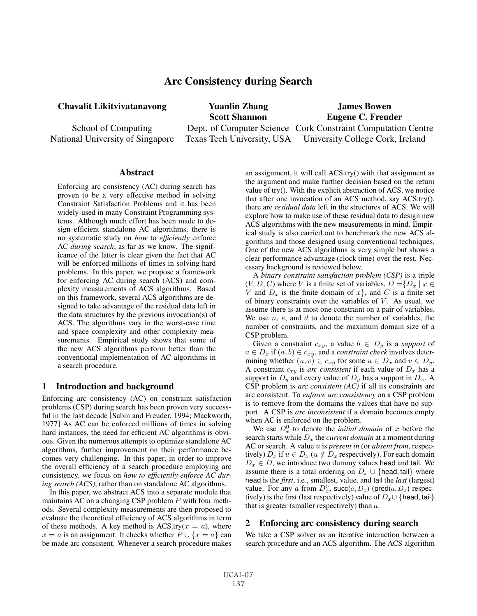# Arc Consistency during Search

Chavalit Likitvivatanavong

School of Computing National University of Singapore

Yuanlin Zhang Scott Shannon Dept. of Computer Science Cork Constraint Computation Centre Texas Tech University, USA James Bowen Eugene C. Freuder University College Cork, Ireland

#### **Abstract**

Enforcing arc consistency (AC) during search has proven to be a very effective method in solving Constraint Satisfaction Problems and it has been widely-used in many Constraint Programming systems. Although much effort has been made to design efficient standalone AC algorithms, there is no systematic study on *how* to *efficiently* enforce AC *during search*, as far as we know. The significance of the latter is clear given the fact that AC will be enforced millions of times in solving hard problems. In this paper, we propose a framework for enforcing AC during search (ACS) and complexity measurements of ACS algorithms. Based on this framework, several ACS algorithms are designed to take advantage of the residual data left in the data structures by the previous invocation(s) of ACS. The algorithms vary in the worst-case time and space complexity and other complexity measurements. Empirical study shows that some of the new ACS algorithms perform better than the conventional implementation of AC algorithms in a search procedure.

### 1 Introduction and background

Enforcing arc consistency (AC) on constraint satisfaction problems (CSP) during search has been proven very successful in the last decade [Sabin and Freuder, 1994; Mackworth, 1977] As AC can be enforced millions of times in solving hard instances, the need for efficient AC algorithms is obvious. Given the numerous attempts to optimize standalone AC algorithms, further improvement on their performance becomes very challenging. In this paper, in order to improve the overall efficiency of a search procedure employing arc consistency, we focus on *how to efficiently enforce AC during search (ACS)*, rather than on standalone AC algorithms.

In this paper, we abstract ACS into a separate module that maintains AC on a changing CSP problem  $P$  with four methods. Several complexity measurements are then proposed to evaluate the theoretical efficiency of ACS algorithms in term of these methods. A key method is  $ACS.try(x = a)$ , where  $x = a$  is an assignment. It checks whether  $P \cup \{x = a\}$  can be made arc consistent. Whenever a search procedure makes an assignment, it will call ACS.try() with that assignment as the argument and make further decision based on the return value of try(). With the explicit abstraction of ACS, we notice that after one invocation of an ACS method, say ACS.try(), there are *residual data* left in the structures of ACS. We will explore how to make use of these residual data to design new ACS algorithms with the new measurements in mind. Empirical study is also carried out to benchmark the new ACS algorithms and those designed using conventional techniques. One of the new ACS algorithms is very simple but shows a clear performance advantage (clock time) over the rest. Necessary background is reviewed below.

A *binary constraint satisfaction problem (CSP)* is a triple  $(V, D, C)$  where V is a finite set of variables,  $D = \{D_x \mid x \in$ V and  $D_x$  is the finite domain of  $x$ , and C is a finite set of binary constraints over the variables of  $V$ . As usual, we assume there is at most one constraint on a pair of variables. We use  $n, e$ , and  $d$  to denote the number of variables, the number of constraints, and the maximum domain size of a CSP problem.

Given a constraint  $c_{xy}$ , a value  $b \in D_y$  is a *support* of  $a \in D_x$  if  $(a, b) \in c_{xy}$ , and a *constraint check* involves determining whether  $(u, v) \in c_{xy}$  for some  $u \in D_x$  and  $v \in D_y$ . A constraint  $c_{xy}$  is *arc consistent* if each value of  $D_x$  has a support in  $D_y$  and every value of  $D_y$  has a support in  $D_x$ . A CSP problem is *arc consistent (AC)* if all its constraints are arc consistent. To *enforce arc consistency* on a CSP problem is to remove from the domains the values that have no support. A CSP is *arc inconsistent* if a domain becomes empty when AC is enforced on the problem.

We use  $D_x^0$  to denote the *initial domain* of x before the search starts while  $D_x$  the *current domain* at a moment during AC or search. A value u is *present in* (or *absent from*, respectively)  $D_x$  if  $u \in D_x$  ( $u \notin D_x$  respectively). For each domain  $D_x \in D$ , we introduce two dummy values head and tail. We assume there is a total ordering on  $D_x \cup \{head, tail\}$  where head is the *first*, i.e., smallest, value, and tail the *last* (largest) value. For any a from  $D_x^0$ , succ $(a, D_x)$  (pred $(a, D_x)$ ) respectively) is the first (last respectively) value of  $D<sub>x</sub> \cup \{head, tail\}$ that is greater (smaller respectively) than  $a$ .

#### 2 Enforcing arc consistency during search

We take a CSP solver as an iterative interaction between a search procedure and an ACS algorithm. The ACS algorithm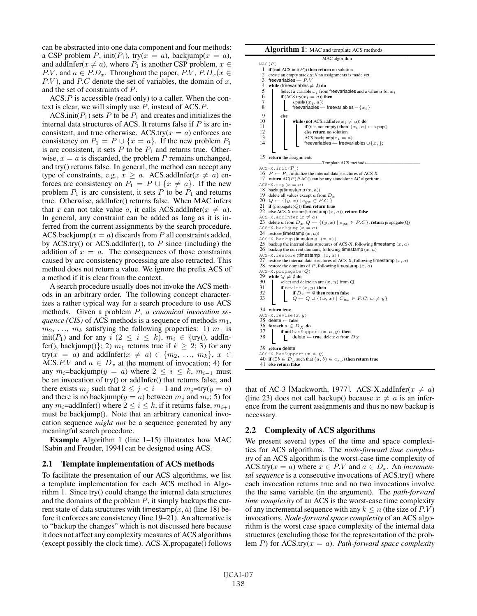can be abstracted into one data component and four methods: a CSP problem P, init( $P_1$ ), try( $x = a$ ), backjump( $x = a$ ), and addInfer( $x \neq a$ ), where  $P_1$  is another CSP problem,  $x \in$ P.V, and  $a \in P.D_x$ . Throughout the paper, P.V,  $P.D_x(x \in$  $P.V$ ), and  $P.C$  denote the set of variables, the domain of x, and the set of constraints of P.

ACS.P is accessible (read only) to a caller. When the context is clear, we will simply use  $P$ , instead of ACS. $P$ .

ACS.init( $P_1$ ) sets P to be  $P_1$  and creates and initializes the internal data structures of ACS. It returns false if  $P$  is arc inconsistent, and true otherwise. ACS.try( $x = a$ ) enforces arc consistency on  $P_1 = P \cup \{x = a\}$ . If the new problem  $P_1$ is arc consistent, it sets  $P$  to be  $P_1$  and returns true. Otherwise,  $x = a$  is discarded, the problem P remains unchanged, and try() returns false. In general, the method can accept any type of constraints, e.g.,  $x \ge a$ . ACS.addInfer( $x \ne a$ ) enforces arc consistency on  $P_1 = P \cup \{x \neq a\}$ . If the new problem  $P_1$  is arc consistent, it sets P to be  $P_1$  and returns true. Otherwise, addInfer() returns false. When MAC infers that x can not take value a, it calls ACS.addInfer( $x \neq a$ ). In general, any constraint can be added as long as it is inferred from the current assignments by the search procedure. ACS.backjump( $x = a$ ) discards from P all constraints added, by ACS.try() or ACS.addInfer(), to  $P$  since (including) the addition of  $x = a$ . The consequences of those constraints caused by arc consistency processing are also retracted. This method does not return a value. We ignore the prefix ACS of a method if it is clear from the context.

A search procedure usually does not invoke the ACS methods in an arbitrary order. The following concept characterizes a rather typical way for a search procedure to use ACS methods. Given a problem P, *a canonical invocation sequence (CIS)* of ACS methods is a sequence of methods  $m_1$ ,  $m_2, \ldots, m_k$  satisfying the following properties: 1)  $m_1$  is init(P<sub>1</sub>) and for any  $i$  (2  $\leq i \leq k$ ),  $m_i \in \{try()$ , addInfer(), backjump()}; 2)  $m_1$  returns true if  $k \geq 2$ ; 3) for any try( $x = a$ ) and addInfer( $x \neq a$ )  $\in \{m_2, \ldots, m_k\}, x \in$ ACS.P.V and  $a \in D_x$  at the moment of invocation; 4) for any  $m_i$ =backjump( $y = a$ ) where  $2 \le i \le k$ ,  $m_{i-1}$  must be an invocation of try() or addInfer() that returns false, and there exists  $m_j$  such that  $2 \le j < i - 1$  and  $m_j = try(y = a)$ and there is no backjump( $y = a$ ) between  $m_i$  and  $m_i$ ; 5) for any  $m_i$ =addInfer() where  $2 \le i \le k$ , if it returns false,  $m_{i+1}$ must be backjump(). Note that an arbitrary canonical invocation sequence *might not* be a sequence generated by any meaningful search procedure.

Example Algorithm 1 (line 1–15) illustrates how MAC [Sabin and Freuder, 1994] can be designed using ACS.

#### 2.1 Template implementation of ACS methods

To facilitate the presentation of our ACS algorithms, we list a template implementation for each ACS method in Algorithm 1. Since try() could change the internal data structures and the domains of the problem  $P$ , it simply backups the current state of data structures with timestamp $(x, a)$  (line 18) before it enforces arc consistency (line 19–21). An alternative is to "backup the changes" which is not discussed here because it does not affect any complexity measures of ACS algorithms (except possibly the clock time). ACS-X.propagate() follows



that of AC-3 [Mackworth, 1977]. ACS-X.addInfer( $x \neq a$ ) (line 23) does not call backup() because  $x \neq a$  is an inference from the current assignments and thus no new backup is necessary.

#### 2.2 Complexity of ACS algorithms

We present several types of the time and space complexities for ACS algorithms. The *node-forward time complexity* of an ACS algorithm is the worst-case time complexity of ACS.try( $x = a$ ) where  $x \in P.V$  and  $a \in D_x$ . An *incremental sequence* is a consecutive invocations of ACS.try() where each invocation returns true and no two invocations involve the the same variable (in the argument). The *path-forward time complexity* of an ACS is the worst-case time complexity of any incremental sequence with any  $k \leq n$  (the size of P.V) invocations. *Node-forward space complexity* of an ACS algorithm is the worst case space complexity of the internal data structures (excluding those for the representation of the problem <sup>P</sup>) for ACS.try(<sup>x</sup> = <sup>a</sup>). *Path-forward space complexity*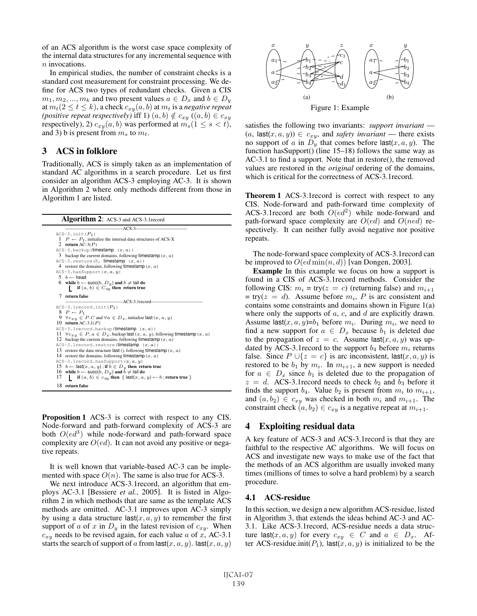of an ACS algorithm is the worst case space complexity of the internal data structures for any incremental sequence with n invocations.

In empirical studies, the number of constraint checks is a standard cost measurement for constraint processing. We define for ACS two types of redundant checks. Given a CIS  $m_1, m_2, ..., m_k$  and two present values  $a \in D_x$  and  $b \in D_y$ at  $m_t(2 \le t \le k)$ , a check  $c_{xy}(a, b)$  at  $m_t$  is a *negative repeat (positive repeat respectively)* iff 1)  $(a, b) \notin c_{xy}$   $((a, b) \in c_{xy})$ respectively), 2)  $c_{xy}(a, b)$  was performed at  $m_s(1 \leq s < t)$ , and 3) b is present from  $m_s$  to  $m_t$ .

## 3 ACS in folklore

Traditionally, ACS is simply taken as an implementation of standard AC algorithms in a search procedure. Let us first consider an algorithm ACS-3 employing AC-3. It is shown in Algorithm 2 where only methods different from those in Algorithm 1 are listed.

| Algorithm 2: ACS-3 and ACS-3.1 record                                                         |  |  |  |  |  |
|-----------------------------------------------------------------------------------------------|--|--|--|--|--|
| $ACS-3$                                                                                       |  |  |  |  |  |
| $ACS-3.$ init $(P_1)$                                                                         |  |  |  |  |  |
| $1 \quad P \leftarrow P_1$ , initialize the internal data structures of ACS-X                 |  |  |  |  |  |
| 2 return AC-3 $(P)$                                                                           |  |  |  |  |  |
| $ACS-3$ .backup (timestamp $(x, a)$ )                                                         |  |  |  |  |  |
| 3 backup the current domains, following timestamp $(x, a)$                                    |  |  |  |  |  |
| ACS-3. restore (P, timestamp $(x, a)$ )                                                       |  |  |  |  |  |
| 4 restore the domains, following timestamp $(x, a)$                                           |  |  |  |  |  |
| $ACS-3.$ hasSupport $(x, a, y)$                                                               |  |  |  |  |  |
| $5\,b \leftarrow$ head                                                                        |  |  |  |  |  |
| 6 while $b \leftarrow \text{succ}(b, D_y)$ and $b \neq \text{tail do}$                        |  |  |  |  |  |
| if $(a, b) \in C_{xy}$ then return true                                                       |  |  |  |  |  |
| 7 return false                                                                                |  |  |  |  |  |
| -ACS-3.1 record-                                                                              |  |  |  |  |  |
| $ACS-3.1$ record.init $(P_1)$                                                                 |  |  |  |  |  |
| $8\quad P \leftarrow P_1$                                                                     |  |  |  |  |  |
| 9 $\forall c_{xy} \in P.C$ and $\forall a \in D_x$ , initialize last $(x, a, y)$              |  |  |  |  |  |
| 10 return AC-3.1( $P$ )                                                                       |  |  |  |  |  |
| $ACS-3.1$ record.backup( $time stamp(x, a)$ )                                                 |  |  |  |  |  |
| 11 $\forall c_{xy} \in P, a \in D_x$ , backup last $(x, a, y)$ , following timestamp $(x, a)$ |  |  |  |  |  |
| 12 backup the current domains, following timestamp $(x, a)$                                   |  |  |  |  |  |
| $ACS-3.1$ record.restore( <b>timestamp</b> $(x, a)$ )                                         |  |  |  |  |  |
| 13 restore the data structure last (), following timestamp $(x, a)$                           |  |  |  |  |  |
| 14 restore the domains, following timestamp $(x, a)$                                          |  |  |  |  |  |
| $ACS-3.1$ record.hasSupport $(x, a, y)$                                                       |  |  |  |  |  |
| 15 $b \leftarrow$ last $(x, a, y)$ ; if $b \in D_y$ then return true                          |  |  |  |  |  |
| 16 while $b \leftarrow \text{succ}(b, D_u)$ and $b \neq \text{tail do}$                       |  |  |  |  |  |
| if $(a, b) \in c_{xy}$ then $\{ \text{ last}(x, a, y) \leftarrow b \}$ ; return true }<br>17  |  |  |  |  |  |
| 18 return false                                                                               |  |  |  |  |  |

Proposition 1 ACS-3 is correct with respect to any CIS. Node-forward and path-forward complexity of ACS-3 are both  $O(ed^3)$  while node-forward and path-forward space complexity are  $O(ed)$ . It can not avoid any positive or negative repeats.

It is well known that variable-based AC-3 can be implemented with space  $O(n)$ . The same is also true for ACS-3.

We next introduce ACS-3.1record, an algorithm that employs AC-3.1 [Bessiere *et al.*, 2005]. It is listed in Algorithm 2 in which methods that are same as the template ACS methods are omitted. AC-3.1 improves upon AC-3 simply by using a data structure last $(x, a, y)$  to remember the first support of a of x in  $D<sub>y</sub>$  in the latest revision of  $c_{xy}$ . When  $c_{xy}$  needs to be revised again, for each value a of x, AC-3.1 starts the search of support of a from  $\textsf{last}(x, a, y)$ .  $\textsf{last}(x, a, y)$ 



satisfies the following two invariants: *support invariant* —  $(a, \text{last}(x, a, y)) \in c_{xy}$ , and *safety invariant* — there exists no support of a in  $D_y$  that comes before last $(x, a, y)$ . The function hasSupport() (line 15–18) follows the same way as AC-3.1 to find a support. Note that in restore(), the removed values are restored in the *original* ordering of the domains, which is critical for the correctness of ACS-3.1record.

Theorem 1 ACS-3.1record is correct with respect to any CIS. Node-forward and path-forward time complexity of ACS-3.1 record are both  $O(ed^2)$  while node-forward and path-forward space complexity are  $O(ed)$  and  $O(ned)$  respectively. It can neither fully avoid negative nor positive repeats.

The node-forward space complexity of ACS-3.1record can be improved to  $O(ed \min(n, d))$  [van Dongen, 2003].

Example In this example we focus on how a support is found in a CIS of ACS-3.1record methods. Consider the following CIS:  $m_i = \text{try}(z = c)$  (returning false) and  $m_{i+1}$  $=$  try( $z = d$ ). Assume before  $m_i$ , P is arc consistent and contains some constraints and domains shown in Figure 1(a) where only the supports of  $a, c$ , and  $d$  are explicitly drawn. Assume last $(x, a, y)=b_1$  before  $m_i$ . During  $m_i$ , we need to find a new support for  $a \in D_x$  because  $b_1$  is deleted due to the propagation of  $z = c$ . Assume last $(x, a, y)$  was updated by ACS-3.1 record to the support  $b_4$  before  $m_i$  returns false. Since  $P \cup \{z = c\}$  is arc inconsistent, last $(x, a, y)$  is restored to be  $b_1$  by  $m_i$ . In  $m_{i+1}$ , a new support is needed for  $a \in D_x$  since  $b_1$  is deleted due to the propagation of  $z = d$ . ACS-3.1 record needs to check  $b_2$  and  $b_3$  before it finds the support  $b_4$ . Value  $b_2$  is present from  $m_i$  to  $m_{i+1}$ , and  $(a, b_2) \in c_{xy}$  was checked in both  $m_i$  and  $m_{i+1}$ . The constraint check  $(a, b_2) \in c_{xy}$  is a negative repeat at  $m_{i+1}$ .

#### 4 Exploiting residual data

A key feature of ACS-3 and ACS-3.1record is that they are faithful to the respective AC algorithms. We will focus on ACS and investigate new ways to make use of the fact that the methods of an ACS algorithm are usually invoked many times (millions of times to solve a hard problem) by a search procedure.

#### 4.1 ACS-residue

In this section, we design a new algorithm ACS-residue, listed in Algorithm 3, that extends the ideas behind AC-3 and AC-3.1. Like ACS-3.1record, ACS-residue needs a data structure last $(x, a, y)$  for every  $c_{xy} \in C$  and  $a \in D_x$ . After ACS-residue.init( $P_1$ ), last(x, a, y) is initialized to be the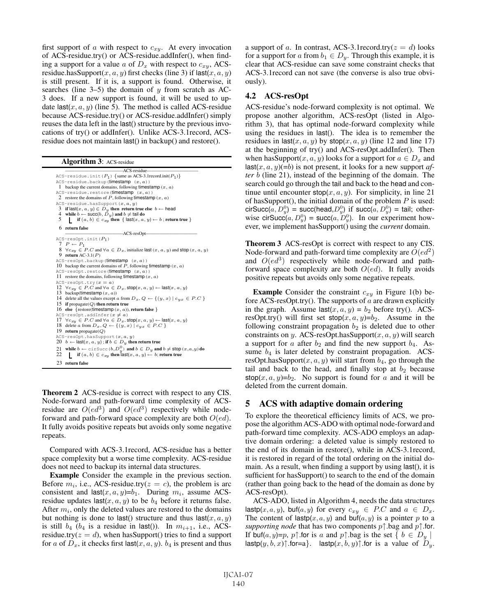first support of  $\alpha$  with respect to  $c_{xy}$ . At every invocation of ACS-residue.try() or ACS-residue.addInfer(), when finding a support for a value a of  $D_x$  with respect to  $c_{xy}$ , ACSresidue.hasSupport $(x, a, y)$  first checks (line 3) if last $(x, a, y)$ is still present. If it is, a support is found. Otherwise, it searches (line  $3-5$ ) the domain of y from scratch as AC-3 does. If a new support is found, it will be used to update last $(x, a, y)$  (line 5). The method is called ACS-residue because ACS-residue.try() or ACS-residue.addInfer() simply reuses the data left in the last() structure by the previous invocations of try() or addInfer(). Unlike ACS-3.1record, ACSresidue does not maintain last() in backup() and restore().

Algorithm 3: ACS-residue

 $\overline{ \text{ACS} \cdot \text{residue} \cdot \text{init}(P_1) \{ \text{same as ACS} \cdot \text{3}.1 \text{record}.\text{init}(P_1) \} }$  $ACS-residue.backup$  (timestamp  $(x, a)$ ) 1 backup the current domains, following timestamp  $(x, a)$ <br>CS-residue restore (timestamp  $(x, a)$ ) ACS-residue.restore(timestamp 2 restore the domains of  $P$ , following timestamp  $(x, a)$  $ACS-residue. has Support (x, a, y)$ 3 if last( $x, a, y$ )  $\in D_y$  then return true else  $b \leftarrow$  head<br>4 while  $b \leftarrow \text{succ}(b, D_y)$  and  $b \neq \text{tail}$  do<br>5 if  $(a, b) \in c_{xy}$  then { last( $x, a, y$ )  $\leftarrow b$ ; return true } 6 return false ————————————-ACS-resOpt———————————  $ACS-resOpt.int(P_1)$ 7  $P \leftarrow P_1$ 8  $\forall c_{xy} \in P.C$  and  $\forall a \in D_x$ , initialize last  $(x, a, y)$  and stop  $(x, a, y)$ <br>9 return AC-3.1(*P*)  $ACS-resOpt.backup$ (timestamp  $(x, a)$ ) 10 backup the current domains of  $P$ , following timestamp  $(x, a)$  $ACS-resOpt.restore$ ( $\tt{timesamp}$   $(x, a)$ ) 11 restore the domains, following timestamp  $(x, a)$ ACS-resOpt.try( $x = a$ )<br>12  $\forall c_{xy} \in P.C$  and  $\forall a \in D_x$ , stop( $x, a, y$ ) ← last( $x, a, y$ ) 13 backup(timestamp  $(x, a)$ ) 14 delete all the values except a from  $D_x$ ,  $Q \leftarrow \{(y, x) \mid c_{yx} \in P.C\}$ <br>15 if propagate(*Q*) then return true 16 else {restore(timestamp  $(x, a)$ ), return false }<br>ACS-resOpt.addInfer( $x \neq a$ ) 17  $\forall c_{xy} \in P.C$  and  $\forall a \in D_x$ , stop $(x, a, y) \leftarrow$  last $(x, a, y)$ 18 delete a from  $D_x, Q \leftarrow \{(y, x) | c_{yx} \in P.C \}$ 19 return propagate(Q)  $S$ -resOpt.hasSupport( $x, a, y$ ) 20  $b \leftarrow$  last( $x, a, y$ ) ; if  $b \in D_y$  then return true 21 while  $b \leftarrow \text{circ}(b, D_y^0)$  and  $b \in D_y$  and  $b \neq \text{stop}(x, a, y)$  do 22 **if**  $(a, b) \in c_{xy}$  then last $(x, a, y) \leftarrow b$ ; return true 23 return false

Theorem 2 ACS-residue is correct with respect to any CIS. Node-forward and path-forward time complexity of ACSresidue are  $O(ed^3)$  and  $O(ed^3)$  respectively while nodeforward and path-forward space complexity are both  $O(ed)$ . It fully avoids positive repeats but avoids only some negative repeats.

Compared with ACS-3.1record, ACS-residue has a better space complexity but a worse time complexity. ACS-residue does not need to backup its internal data structures.

Example Consider the example in the previous section. Before  $m_i$ , i.e., ACS-residue.try( $z = c$ ), the problem is arc consistent and last $(x, a, y)=b_1$ . During  $m_i$ , assume ACSresidue updates last $(x, a, y)$  to be  $b_4$  before it returns false. After  $m_i$ , only the deleted values are restored to the domains but nothing is done to last() structure and thus  $\textsf{last}(x, a, y)$ is still  $b_4$  ( $b_4$  is a residue in last()). In  $m_{i+1}$ , i.e., ACSresidue.try( $z = d$ ), when has Support() tries to find a support for a of  $D_x$ , it checks first last $(x, a, y)$ .  $b_4$  is present and thus a support of a. In contrast, ACS-3.1record.try( $z = d$ ) looks for a support for a from  $b_1 \in D_y$ . Through this example, it is clear that ACS-residue can save some constraint checks that ACS-3.1record can not save (the converse is also true obviously).

#### 4.2 ACS-resOpt

ACS-residue's node-forward complexity is not optimal. We propose another algorithm, ACS-resOpt (listed in Algorithm 3), that has optimal node-forward complexity while using the residues in last(). The idea is to remember the residues in last $(x, a, y)$  by stop $(x, a, y)$  (line 12 and line 17) at the beginning of try() and ACS-resOpt.addInfer(). Then when has Support $(x, a, y)$  looks for a support for  $a \in D_x$  and last $(x, a, y) (=b)$  is not present, it looks for a new support *after* b (line 21), instead of the beginning of the domain. The search could go through the tail and back to the head and continue until encounter  $stop(x, a, y)$ . For simplicity, in line 21 of has Support(), the initial domain of the problem  $P$  is used: cirSucc $(a, D_y^0)$  = succ(head, $D_y^0$ ) if succ $(a, D_y^0)$  = tail; otherwise cirSucc(a,  $D_y^0$ ) = succ(a,  $D_y^0$ ). In our experiment however, we implement hasSupport() using the *current* domain.

Theorem 3 ACS-resOpt is correct with respect to any CIS. Node-forward and path-forward time complexity are  $O(ed^2)$ and  $O(ed^3)$  respectively while node-forward and pathforward space complexity are both  $O(ed)$ . It fully avoids positive repeats but avoids only some negative repeats.

**Example** Consider the constraint  $c_{xy}$  in Figure 1(b) before ACS-resOpt.try(). The supports of  $\alpha$  are drawn explicitly in the graph. Assume last $(x, a, y) = b_2$  before try(). ACSresOpt.try() will first set  $stop(x, a, y)=b_2$ . Assume in the following constraint propagation  $b_2$  is deleted due to other constraints on y. ACS-resOpt.hasSupport $(x, a, y)$  will search a support for a after  $b_2$  and find the new support  $b_4$ . Assume  $b_4$  is later deleted by constraint propagation. ACSresOpt.hasSupport $(x, a, y)$  will start from  $b_4$ , go through the tail and back to the head, and finally stop at  $b_2$  because stop $(x, a, y)=b_2$ . No support is found for a and it will be deleted from the current domain.

#### 5 ACS with adaptive domain ordering

To explore the theoretical efficiency limits of ACS, we propose the algorithm ACS-ADO with optimal node-forward and path-forward time complexity. ACS-ADO employs an adaptive domain ordering: a deleted value is simply restored to the end of its domain in restore(), while in ACS-3.1record, it is restored in regard of the total ordering on the initial domain. As a result, when finding a support by using last(), it is sufficient for hasSupport() to search to the end of the domain (rather than going back to the head of the domain as done by ACS-resOpt).

ACS-ADO, listed in Algorithm 4, needs the data structures  $\textsf{lastp}(x, a, y)$ , buf $(a, y)$  for every  $c_{xy} \in P.C$  and  $a \in D_x$ . The content of last  $p(x, a, y)$  and buf $(a, y)$  is a pointer p to a *supporting node* that has two components p↑.bag and p↑.for. If buf $(a, y)=p$ , p↑ for is a and p↑ bag is the set  $\{b \in D_u \mid$ lastp $(y, b, x)$ ↑.for=a}. lastp $(x, b, y)$ ↑.for is a value of  $D_y$ .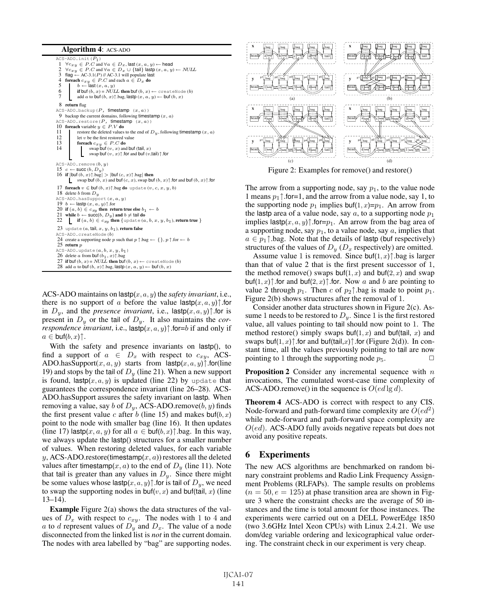Algorithm 4: ACS-ADO

 $ACS-ADO.init(P<sub>1</sub>)$  $1 \quad \forall c_{xy} \in P.C$  and  $\forall a \in D_x$ , last  $(x, a, y) \leftarrow$  head 2  $\forall c_{xy} \in P.C$  and  $\forall a \in D_x \cup \{\text{tail}\}\$  lastp  $(x, a, y) \leftarrow NULL$ <br>3 flag ← AC-3.1(*P*) // AC-3.1 will populate last 4 **foreach**  $c_{xy}$  ∈ *P.C* and each  $a$  ∈  $D_x$  **do**<br>
5 **b** ← last  $(x, a, y)$ <br> **if buf**  $(b, x) = NULL$  **then buf**  $(b, x)$  ← createNode  $(b)$ add a to buf  $(b, x)$ †.bag, lastp  $(x, a, y) \leftarrow$  buf  $(b, x)$ 8 return flag ACS-ADO.backup ( $P$ , timestamp ( $x$ ,  $a$ ))<br>9 backup the current domains, following timestamp ( $x$ ,  $a$ )  $ACS-ADO. restore(P, timestamp(x, a))$ 10 **foreach** variable  $y \in P.V$  **do**<br>11 **f** restore the deleted values 11 restore the deleted values to the end of  $D_y$ , following timestamp  $(x, a)$ <br>12 let v be the first restored value 12 let v be the first restored value<br>13 **forwach**  $c_{x,y} \in P.C$  **do** 13 **foreach**  $c_{xy} \in P.C$  **do**<br>14 **swap buf**  $(v, x)$  and **buf** (tail, x) swap buf  $(v, x)$ †.for and buf  $(v, \text{tail})$ †.for  $\texttt{ACS-ADO}.\texttt{remove}(b, y)$ 15  $c \leftarrow$  succ  $(b, D_y)$ 16 if  $|\text{buf}(b, x)\rangle \cdot \text{bag}| > |\text{buf}(c, x)\rangle \cdot \text{bag}|$  then<br>swap buf  $(b, x)$  and buf  $(c, x)$ , swap buf  $(b, x)\rangle \cdot \text{for}$  and buf  $(b, x)\rangle \cdot \text{for}$ 17 foreach  $v \in \text{buf}\,(b,x)$ ↑.bag do update  $(v,c,x,y,b)$ 18 delete b from  $D_y$  $ACS-ADO. has Support(x, a, y)$ 19  $b \leftarrow$  lastp  $(x, a, y)$ † .for 20 if  $(a, b) \in c_{xy}$  then return true else  $b_1 \leftarrow b$ 21 while  $b \leftarrow \text{succ}(b, D_y)$  and  $b \neq \text{tail }$  do<br>22 if  $(a, b) \in c_{xy}$  then {update  $(a, b, x, y, b_1)$ , return true } 23 update  $(a, \text{tail}, x, y, b_1)$ , return false S-ADO.createNode(b) 24 create a supporting node  $p$  such that  $p\uparrow$  bag ← {},  $p\uparrow$  for ←  $b$ 25 return  $p$  $ACS-ADO$ .update $(a, b, x, y, b_1)$ 26 delete a from buf  $(b_1, x)$ ↑.bag<br>27 if buf  $(b, x) = NULL$  then buf  $(b, x) \leftarrow$  createNode  $(b)$ 28 add a to buf  $(b, x)$  $\uparrow$  bag, lastp  $(x, a, y) \leftarrow$  buf  $(b, x)$ 

ACS-ADO maintains on lastp(x, a, y) the *safety invariant*, i.e., there is no support of a before the value last  $p(x, a, y)$  for in  $D_y$ , and the *presence invariant*, i.e., last  $p(x, a, y)$  for is present in D<sup>y</sup> or the tail of Dy. It also maintains the *correspondence invariant*, i.e., last  $p(x, a, y)$  *for=b* if and only if  $a \in \text{buf}(b,x)$ <sup> $\uparrow$ </sup>.

With the safety and presence invariants on lastp(), to find a support of  $a \in D_x$  with respect to  $c_{xy}$ , ACS-ADO.hasSupport(x, a, y) starts from lastp(x, a, y) $\uparrow$ .for(line 19) and stops by the tail of  $D_y$  (line 21). When a new support is found, last  $p(x, a, y)$  is updated (line 22) by update that guarantees the correspondence invariant (line 26–28). ACS-ADO.hasSupport assures the safety invariant on lastp. When removing a value, say b of  $D_y$ , ACS-ADO.remove(b, y) finds the first present value c after b (line 15) and makes buf(b, x) point to the node with smaller bag (line 16). It then updates (line 17) last  $p(x, a, y)$  for all  $a \in \text{buf}(b, x)$  for lag. In this way, we always update the lastp() structures for a smaller number of values. When restoring deleted values, for each variable y, ACS-ADO.restore(timestamp $(x, a)$ ) restores all the deleted values after timestamp(x, a) to the end of  $D<sub>y</sub>$  (line 11). Note that tail is greater than any values in  $D_y$ . Since there might be some values whose last  $p(x, a, y)$  for is tail of  $D_y$ , we need to swap the supporting nodes in  $\text{buf}(v, x)$  and  $\text{buf}(\text{tail}, x)$  (line 13–14).

Example Figure 2(a) shows the data structures of the values of  $D_x$  with respect to  $c_{xy}$ . The nodes with 1 to 4 and a to d represent values of  $D_y$  and  $D_x$ . The value of a node disconnected from the linked list is *not* in the current domain. The nodes with area labelled by "bag" are supporting nodes.



Figure 2: Examples for remove() and restore()

The arrow from a supporting node, say  $p_1$ , to the value node 1 means  $p_1 \uparrow$ .for=1, and the arrow from a value node, say 1, to the supporting node  $p_1$  implies buf(1, x)= $p_1$ . An arrow from the lastp area of a value node, say  $a$ , to a supporting node  $p_1$ implies last  $p(x, a, y)$  $\uparrow$ . for= $p_1$ . An arrow from the bag area of a supporting node, say  $p_1$ , to a value node, say  $a$ , implies that  $a \in p_1 \uparrow$  bag. Note that the details of lastp (buf respectively) structures of the values of  $D_y$  ( $D_x$  respectively) are omitted.

Assume value 1 is removed. Since buf $(1, x)$  $\uparrow$  bag is larger than that of value 2 that is the first present successor of 1, the method remove() swaps buf(1, x) and buf(2, x) and swap buf(1, x) $\uparrow$ .for and buf(2, x) $\uparrow$ .for. Now a and b are pointing to value 2 through  $p_1$ . Then c of  $p_2 \uparrow$  bag is made to point  $p_1$ . Figure 2(b) shows structures after the removal of 1.

Consider another data structures shown in Figure 2(c). Assume 1 needs to be restored to  $D_y$ . Since 1 is the first restored value, all values pointing to tail should now point to 1. The method restore() simply swaps buf(1, x) and buf(tail, x) and swaps buf $(1, x)$ †.for and buf $(tail, x)$ †.for (Figure 2(d)). In constant time, all the values previously pointing to tail are now pointing to 1 through the supporting node  $p_5$ .

**Proposition 2** Consider any incremental sequence with  $n$ invocations, The cumulated worst-case time complexity of ACS-ADO.remove() in the sequence is  $O(ed \lg d)$ .

Theorem 4 ACS-ADO is correct with respect to any CIS. Node-forward and path-forward time complexity are  $O(ed^2)$ while node-forward and path-forward space complexity are  $O(ed)$ . ACS-ADO fully avoids negative repeats but does not avoid any positive repeats.

## 6 Experiments

The new ACS algorithms are benchmarked on random binary constraint problems and Radio Link Frequency Assignment Problems (RLFAPs). The sample results on problems  $(n = 50, e = 125)$  at phase transition area are shown in Figure 3 where the constraint checks are the average of 50 instances and the time is total amount for those instances. The experiments were carried out on a DELL PowerEdge 1850 (two 3.6GHz Intel Xeon CPUs) with Linux 2.4.21. We use dom/deg variable ordering and lexicographical value ordering. The constraint check in our experiment is very cheap.